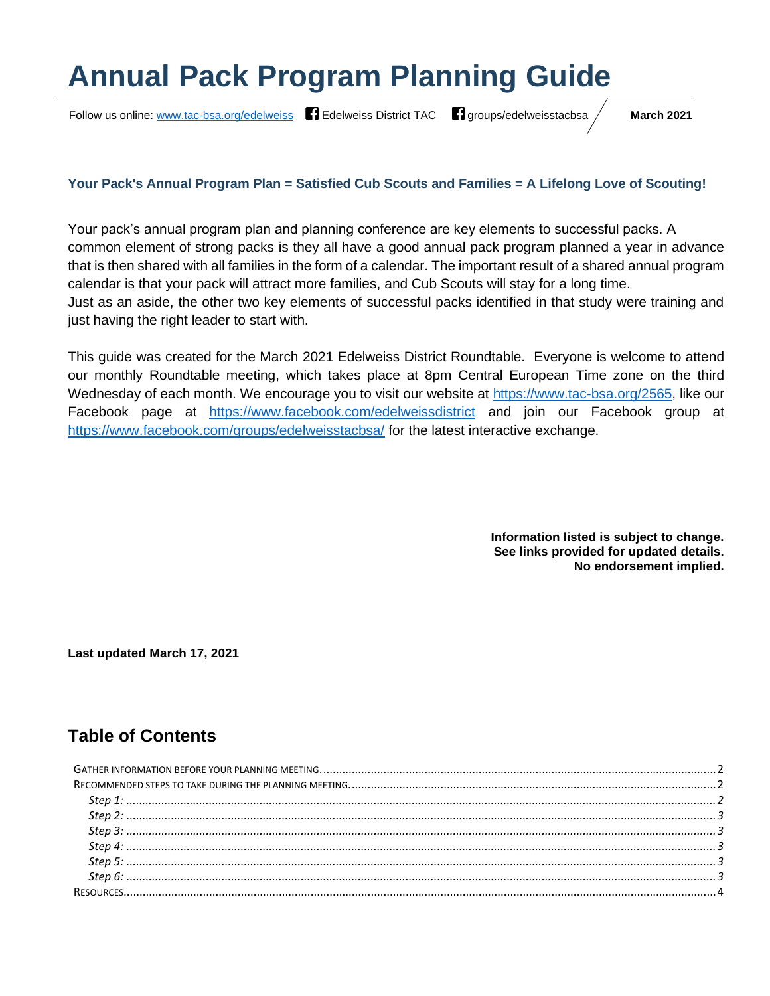# **Annual Pack Program Planning Guide**

Follow us online: [www.tac-bsa.org/edelweiss](http://www.tac-bsa.org/edelweiss) **F1** [Edelweiss District TAC](https://www.facebook.com/edelweissdistrict) **F1** [groups/edelweisstacbsa](https://www.facebook.com/groups/edelweisstacbsa) / March 2021

#### **Your Pack's Annual Program Plan = Satisfied Cub Scouts and Families = A Lifelong Love of Scouting!**

Your pack's annual program plan and planning conference are key elements to successful packs. A common element of strong packs is they all have a good annual pack program planned a year in advance that is then shared with all families in the form of a calendar. The important result of a shared annual program calendar is that your pack will attract more families, and Cub Scouts will stay for a long time. Just as an aside, the other two key elements of successful packs identified in that study were training and just having the right leader to start with.

This guide was created for the March 2021 Edelweiss District Roundtable. Everyone is welcome to attend our monthly Roundtable meeting, which takes place at 8pm Central European Time zone on the third Wednesday of each month. We encourage you to visit our website at [https://www.tac-bsa.org/2565,](https://www.tac-bsa.org/2565) like our Facebook page at <https://www.facebook.com/edelweissdistrict> and join our Facebook group at <https://www.facebook.com/groups/edelweisstacbsa/> for the latest interactive exchange.

> **Information listed is subject to change. See links provided for updated details. No endorsement implied.**

**Last updated March 17, 2021**

# **Table of Contents**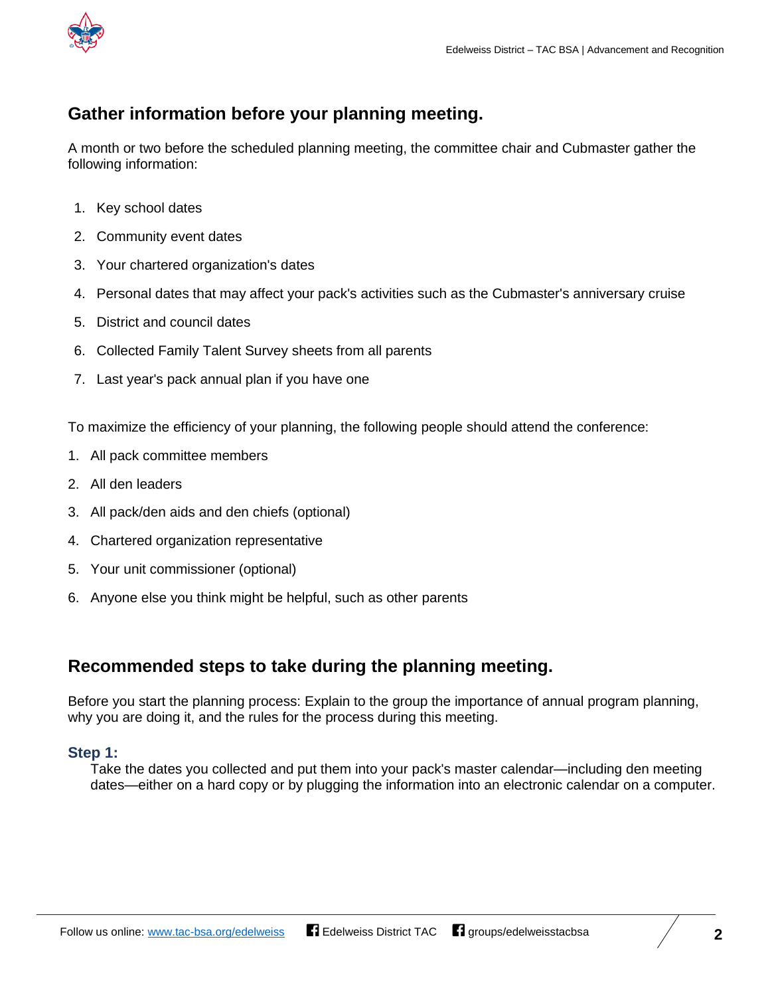

# <span id="page-1-0"></span>**Gather information before your planning meeting.**

A month or two before the scheduled planning meeting, the committee chair and Cubmaster gather the following information:

- 1. Key school dates
- 2. Community event dates
- 3. Your chartered organization's dates
- 4. Personal dates that may affect your pack's activities such as the Cubmaster's anniversary cruise
- 5. District and council dates
- 6. Collected Family Talent Survey sheets from all parents
- 7. Last year's pack annual plan if you have one

To maximize the efficiency of your planning, the following people should attend the conference:

- 1. All pack committee members
- 2. All den leaders
- 3. All pack/den aids and den chiefs (optional)
- 4. Chartered organization representative
- 5. Your unit commissioner (optional)
- 6. Anyone else you think might be helpful, such as other parents

## <span id="page-1-1"></span>**Recommended steps to take during the planning meeting.**

Before you start the planning process: Explain to the group the importance of annual program planning, why you are doing it, and the rules for the process during this meeting.

#### <span id="page-1-2"></span>**Step 1:**

Take the dates you collected and put them into your pack's master calendar—including den meeting dates—either on a hard copy or by plugging the information into an electronic calendar on a computer.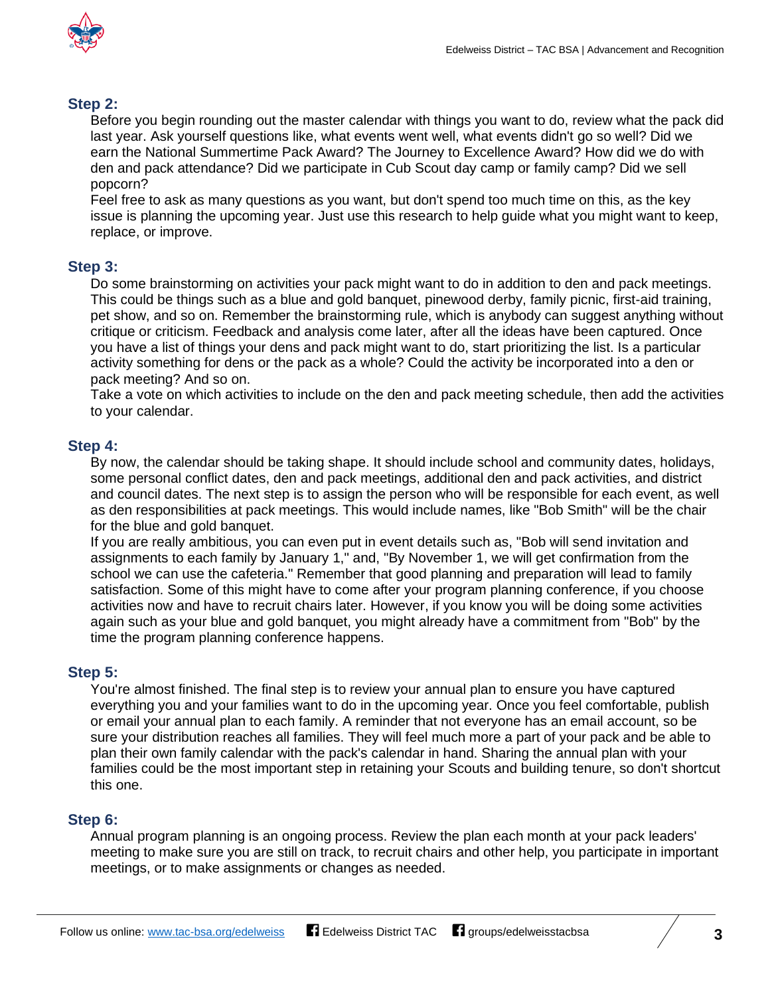

#### <span id="page-2-0"></span>**Step 2:**

Before you begin rounding out the master calendar with things you want to do, review what the pack did last year. Ask yourself questions like, what events went well, what events didn't go so well? Did we earn the National Summertime Pack Award? The Journey to Excellence Award? How did we do with den and pack attendance? Did we participate in Cub Scout day camp or family camp? Did we sell popcorn?

Feel free to ask as many questions as you want, but don't spend too much time on this, as the key issue is planning the upcoming year. Just use this research to help guide what you might want to keep, replace, or improve.

#### <span id="page-2-1"></span>**Step 3:**

Do some brainstorming on activities your pack might want to do in addition to den and pack meetings. This could be things such as a blue and gold banquet, pinewood derby, family picnic, first-aid training, pet show, and so on. Remember the brainstorming rule, which is anybody can suggest anything without critique or criticism. Feedback and analysis come later, after all the ideas have been captured. Once you have a list of things your dens and pack might want to do, start prioritizing the list. Is a particular activity something for dens or the pack as a whole? Could the activity be incorporated into a den or pack meeting? And so on.

Take a vote on which activities to include on the den and pack meeting schedule, then add the activities to your calendar.

#### <span id="page-2-2"></span>**Step 4:**

By now, the calendar should be taking shape. It should include school and community dates, holidays, some personal conflict dates, den and pack meetings, additional den and pack activities, and district and council dates. The next step is to assign the person who will be responsible for each event, as well as den responsibilities at pack meetings. This would include names, like "Bob Smith" will be the chair for the blue and gold banquet.

If you are really ambitious, you can even put in event details such as, "Bob will send invitation and assignments to each family by January 1," and, "By November 1, we will get confirmation from the school we can use the cafeteria." Remember that good planning and preparation will lead to family satisfaction. Some of this might have to come after your program planning conference, if you choose activities now and have to recruit chairs later. However, if you know you will be doing some activities again such as your blue and gold banquet, you might already have a commitment from "Bob" by the time the program planning conference happens.

#### <span id="page-2-3"></span>**Step 5:**

You're almost finished. The final step is to review your annual plan to ensure you have captured everything you and your families want to do in the upcoming year. Once you feel comfortable, publish or email your annual plan to each family. A reminder that not everyone has an email account, so be sure your distribution reaches all families. They will feel much more a part of your pack and be able to plan their own family calendar with the pack's calendar in hand. Sharing the annual plan with your families could be the most important step in retaining your Scouts and building tenure, so don't shortcut this one.

#### <span id="page-2-4"></span>**Step 6:**

Annual program planning is an ongoing process. Review the plan each month at your pack leaders' meeting to make sure you are still on track, to recruit chairs and other help, you participate in important meetings, or to make assignments or changes as needed.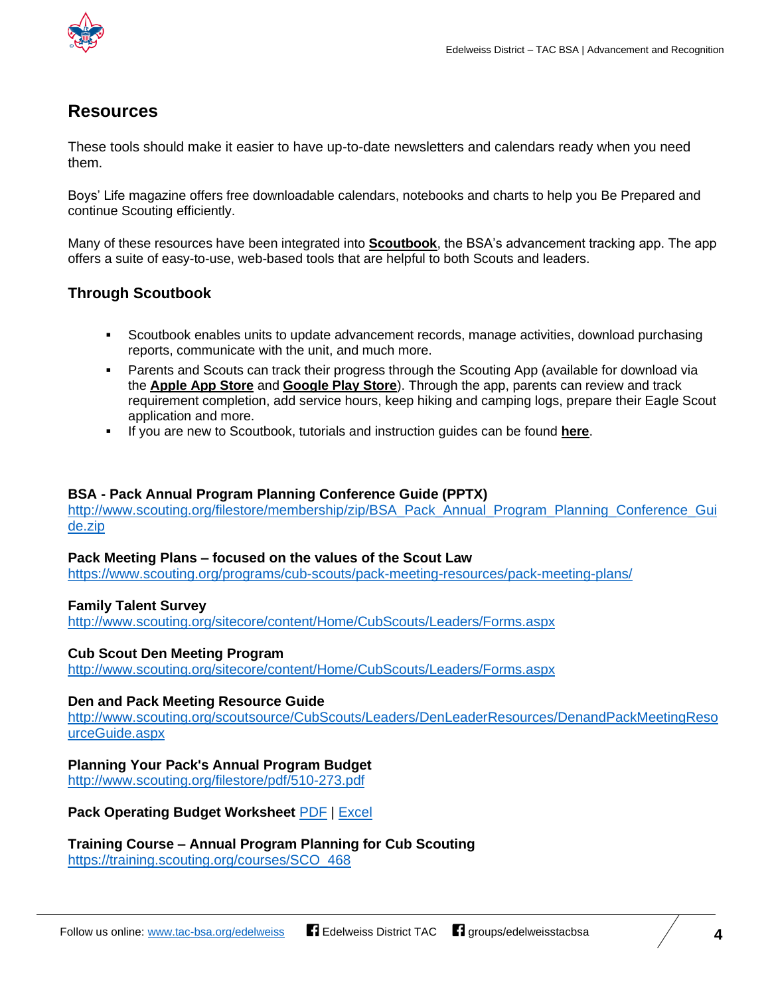

## <span id="page-3-0"></span>**Resources**

These tools should make it easier to have up-to-date newsletters and calendars ready when you need them.

Boys' Life magazine offers free downloadable calendars, notebooks and charts to help you Be Prepared and continue Scouting efficiently.

Many of these resources have been integrated into **[Scoutbook](https://www.scoutbook.com/)**, the BSA's advancement tracking app. The app offers a suite of easy-to-use, web-based tools that are helpful to both Scouts and leaders.

#### **Through Scoutbook**

- Scoutbook enables units to update advancement records, manage activities, download purchasing reports, communicate with the unit, and much more.
- Parents and Scouts can track their progress through the Scouting App (available for download via the **[Apple](https://apps.apple.com/us/app/scouting/id1218464473) App Store** and **[Google](https://play.google.com/store/apps/details?id=com.bsa.sbm&hl=en_US) Play Store**). Through the app, parents can review and track requirement completion, add service hours, keep hiking and camping logs, prepare their Eagle Scout application and more.
- If you are new to Scoutbook, tutorials and instruction guides can be found **[here](https://help.scoutbook.com/)**.

#### **BSA - Pack Annual Program Planning Conference Guide (PPTX)**

[http://www.scouting.org/filestore/membership/zip/BSA\\_Pack\\_Annual\\_Program\\_Planning\\_Conference\\_Gui](http://www.scouting.org/filestore/membership/zip/BSA_Pack_Annual_Program_Planning_Conference_Guide.zip) [de.zip](http://www.scouting.org/filestore/membership/zip/BSA_Pack_Annual_Program_Planning_Conference_Guide.zip)

#### **Pack Meeting Plans – focused on the values of the Scout Law**

<https://www.scouting.org/programs/cub-scouts/pack-meeting-resources/pack-meeting-plans/>

#### **Family Talent Survey**

<http://www.scouting.org/sitecore/content/Home/CubScouts/Leaders/Forms.aspx>

#### **Cub Scout Den Meeting Program**

<http://www.scouting.org/sitecore/content/Home/CubScouts/Leaders/Forms.aspx>

#### **Den and Pack Meeting Resource Guide**

[http://www.scouting.org/scoutsource/CubScouts/Leaders/DenLeaderResources/DenandPackMeetingReso](http://www.scouting.org/scoutsource/CubScouts/Leaders/DenLeaderResources/DenandPackMeetingResourceGuide.aspx) [urceGuide.aspx](http://www.scouting.org/scoutsource/CubScouts/Leaders/DenLeaderResources/DenandPackMeetingResourceGuide.aspx)

#### **Planning Your Pack's Annual Program Budget**

<http://www.scouting.org/filestore/pdf/510-273.pdf>

**Pack Operating Budget Worksheet** [PDF](http://www.scouting.org/filestore/pdf/13-273.pdf) | [Excel](http://www.scouting.org/filestore/xls/13-273.xls)

#### **Training Course – Annual Program Planning for Cub Scouting**

[https://training.scouting.org/courses/SCO\\_468](https://training.scouting.org/courses/SCO_468)